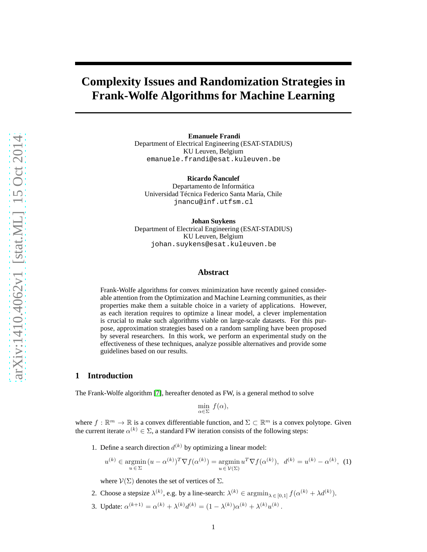# **Complexity Issues and Randomization Strategies in Frank-Wolfe Algorithms for Machine Learning**

**Emanuele Frandi** Department of Electrical Engineering (ESAT-STADIUS) KU Leuven, Belgium emanuele.frandi@esat.kuleuven.be

**Ricardo Ñanculef** Departamento de Informática Universidad Técnica Federico Santa María, Chile jnancu@inf.utfsm.cl

**Johan Suykens**

Department of Electrical Engineering (ESAT-STADIUS) KU Leuven, Belgium johan.suykens@esat.kuleuven.be

## **Abstract**

Frank-Wolfe algorithms for convex minimization have recently gained considerable attention from the Optimization and Machine Learning communities, as their properties make them a suitable choice in a variety of applications. However, as each iteration requires to optimize a linear model, a clever implementation is crucial to make such algorithms viable on large-scale datasets. For this purpose, approximation strategies based on a random sampling have been proposed by several researchers. In this work, we perform an experimental study on the effectiveness of these techniques, analyze possible alternatives and provide some guidelines based on our results.

## **1 Introduction**

The Frank-Wolfe algorithm [\[7\]](#page-4-0), hereafter denoted as FW, is a general method to solve

<span id="page-0-0"></span>
$$
\min_{\alpha \in \Sigma} f(\alpha),
$$

where  $f : \mathbb{R}^m \to \mathbb{R}$  is a convex differentiable function, and  $\Sigma \subset \mathbb{R}^m$  is a convex polytope. Given the current iterate  $\alpha^{(k)} \in \Sigma$ , a standard FW iteration consists of the following steps:

1. Define a search direction  $d^{(k)}$  by optimizing a linear model:

$$
u^{(k)} \in \underset{u \in \Sigma}{\text{argmin}} (u - \alpha^{(k)})^T \nabla f(\alpha^{(k)}) = \underset{u \in \mathcal{V}(\Sigma)}{\text{argmin}} u^T \nabla f(\alpha^{(k)}), \ d^{(k)} = u^{(k)} - \alpha^{(k)}, \ (1)
$$

where  $V(\Sigma)$  denotes the set of vertices of  $\Sigma$ .

- 2. Choose a stepsize  $\lambda^{(k)}$ , e.g. by a line-search:  $\lambda^{(k)} \in \operatorname{argmin}_{\lambda \in [0,1]} f(\alpha^{(k)} + \lambda d^{(k)})$ .
- 3. Update:  $\alpha^{(k+1)} = \alpha^{(k)} + \lambda^{(k)} d^{(k)} = (1 \lambda^{(k)}) \alpha^{(k)} + \lambda^{(k)} u^{(k)}$ .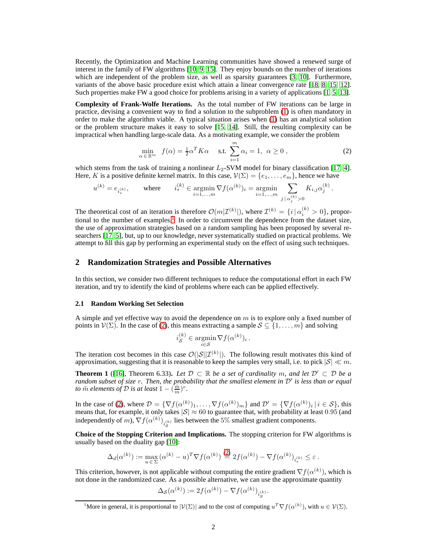Recently, the Optimization and Machine Learning communities have showed a renewed surge of interest in the family of FW algorithms [\[10,](#page-4-1) [9,](#page-4-2) [15\]](#page-5-0). They enjoy bounds on the number of iterations which are independent of the problem size, as well as sparsity guarantees [\[3,](#page-4-3) [10\]](#page-4-1). Furthermore, variants of the above basic procedure exist which attain a linear convergence rate [\[18,](#page-5-1) [8,](#page-4-4) [15,](#page-5-0) [12\]](#page-5-2). Such properties make FW a good choice for problems arising in a variety of applications [\[1,](#page-4-5) [5,](#page-4-6) [13\]](#page-5-3).

**Complexity of Frank-Wolfe Iterations.** As the total number of FW iterations can be large in practice, devising a convenient way to find a solution to the subproblem [\(1\)](#page-0-0) is often mandatory in order to make the algorithm viable. A typical situation arises when [\(1\)](#page-0-0) has an analytical solution or the problem structure makes it easy to solve [\[15,](#page-5-0) [14\]](#page-5-4). Still, the resulting complexity can be impractical when handling large-scale data. As a motivating example, we consider the problem

<span id="page-1-1"></span>
$$
\min_{\alpha \in \mathbb{R}^m} f(\alpha) = \frac{1}{2} \alpha^T K \alpha \quad \text{s.t.} \sum_{i=1}^m \alpha_i = 1, \ \alpha \ge 0 \,, \tag{2}
$$

which stems from the task of training a nonlinear  $L_2$ -SVM model for binary classification [\[17,](#page-5-5) [4\]](#page-4-7). Here, K is a positive definite kernel matrix. In this case,  $V(\Sigma) = \{e_1, \ldots, e_m\}$ , hence we have

$$
u^{(k)} = e_{i_*^{(k)}}, \qquad \text{where} \qquad i_*^{(k)} \in \operatornamewithlimits{argmin}_{i=1,...,m} \nabla f(\alpha^{(k)})_i = \operatornamewithlimits{argmin}_{i=1,...,m} \sum_{j \, | \, \alpha^{(k)}_j > 0} K_{i,j} \alpha^{(k)}_j \, .
$$

The theoretical cost of an iteration is therefore  $\mathcal{O}(m|\mathcal{I}^{(k)}|)$ , where  $\mathcal{I}^{(k)} = \{i | \alpha_i^{(k)} > 0\}$ , propor-tional to the number of examples.<sup>[1](#page-1-0)</sup> In order to circumvent the dependence from the dataset size, the use of approximation strategies based on a random sampling has been proposed by several researchers [\[17,](#page-5-5) [5\]](#page-4-6), but, up to our knowledge, never systematically studied on practical problems. We attempt to fill this gap by performing an experimental study on the effect of using such techniques.

## <span id="page-1-2"></span>**2 Randomization Strategies and Possible Alternatives**

In this section, we consider two different techniques to reduce the computational effort in each FW iteration, and try to identify the kind of problems where each can be applied effectively.

#### **2.1 Random Working Set Selection**

A simple and yet effective way to avoid the dependence on  $m$  is to explore only a fixed number of points in  $\mathcal{V}(\Sigma)$ . In the case of [\(2\)](#page-1-1), this means extracting a sample  $\mathcal{S} \subseteq \{1, \ldots, m\}$  and solving

$$
i_{\mathcal{S}}^{(k)} \in \operatorname*{argmin}_{i \in \mathcal{S}} \nabla f(\alpha^{(k)})_i.
$$

The iteration cost becomes in this case  $\mathcal{O}(|\mathcal{S}||\mathcal{I}^{(k)}|)$ . The following result motivates this kind of approximation, suggesting that it is reasonable to keep the samples very small, i.e. to pick  $|S| \ll m$ .

**Theorem 1** ([\[16\]](#page-5-6), Theorem 6.33). Let  $\mathcal{D} \subset \mathbb{R}$  be a set of cardinality m, and let  $\mathcal{D}' \subset \mathcal{D}$  be a *random subset of size* r*. Then, the probability that the smallest element in* D′ *is less than or equal to*  $\tilde{m}$  *elements of*  $D$  *is at least*  $1 - (\frac{\tilde{m}}{m})^r$ .

In the case of [\(2\)](#page-1-1), where  $\mathcal{D} = \{ \nabla f(\alpha^{(k)})_1, \ldots, \nabla f(\alpha^{(k)})_m \}$  and  $\mathcal{D}' = \{ \nabla f(\alpha^{(k)})_i \, | \, i \in \mathcal{S} \}$ , this means that, for example, it only takes  $|\mathcal{S}| \approx 60$  to guarantee that, with probability at least 0.95 (and independently of m),  $\nabla f(\alpha^{(k)})_{i_S^{(k)}}$  lies between the 5% smallest gradient components.

**Choice of the Stopping Criterion and Implications.** The stopping criterion for FW algorithms is usually based on the duality gap [\[10\]](#page-4-1):

$$
\Delta_d(\alpha^{(k)}) := \max_{u \in \Sigma} (\alpha^{(k)} - u)^T \nabla f(\alpha^{(k)}) \stackrel{(2)}{=} 2f(\alpha^{(k)}) - \nabla f(\alpha^{(k)})_{i_*^{(k)}} \le \varepsilon.
$$

This criterion, however, is not applicable without computing the entire gradient  $\nabla f(\alpha^{(k)})$ , which is not done in the randomized case. As a possible alternative, we can use the approximate quantity

$$
\Delta_{\mathcal{S}}(\alpha^{(k)}) := 2f(\alpha^{(k)}) - \nabla f(\alpha^{(k)})_{i_{\mathcal{S}}^{(k)}}.
$$

<span id="page-1-0"></span><sup>&</sup>lt;sup>1</sup>More in general, it is proportional to  $|\mathcal{V}(\Sigma)|$  and to the cost of computing  $u^T \nabla f(\alpha^{(k)})$ , with  $u \in \mathcal{V}(\Sigma)$ .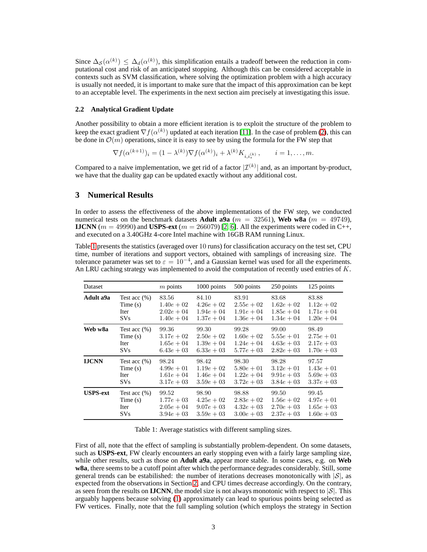Since  $\Delta_{\mathcal{S}}(\alpha^{(k)}) \leq \Delta_d(\alpha^{(k)})$ , this simplification entails a tradeoff between the reduction in computational cost and risk of an anticipated stopping. Although this can be considered acceptable in contexts such as SVM classification, where solving the optimization problem with a high accuracy is usually not needed, it is important to make sure that the impact of this approximation can be kept to an acceptable level. The experiments in the next section aim precisely at investigating this issue.

#### <span id="page-2-1"></span>**2.2 Analytical Gradient Update**

Another possibility to obtain a more efficient iteration is to exploit the structure of the problem to keep the exact gradient  $\nabla f(\alpha^{(k)})$  updated at each iteration [\[11\]](#page-5-7). In the case of problem [\(2\)](#page-1-1), this can be done in  $\mathcal{O}(m)$  operations, since it is easy to see by using the formula for the FW step that

$$
\nabla f(\alpha^{(k+1)})_i = (1 - \lambda^{(k)}) \nabla f(\alpha^{(k)})_i + \lambda^{(k)} K_{i,i_*^{(k)}} , \qquad i = 1, \dots, m.
$$

Compared to a naive implementation, we get rid of a factor  $|\mathcal{I}^{(k)}|$  and, as an important by-product, we have that the duality gap can be updated exactly without any additional cost.

## **3 Numerical Results**

In order to assess the effectiveness of the above implementations of the FW step, we conducted numerical tests on the benchmark datasets **Adult a9a**  $(m = 32561)$ , **Web w8a**  $(m = 49749)$ , **IJCNN** ( $m = 49990$ ) and **USPS-ext** ( $m = 266079$ ) [\[2,](#page-4-8) [6\]](#page-4-9). All the experiments were coded in C++, and executed on a 3.40GHz 4-core Intel machine with 16GB RAM running Linux.

Table [1](#page-2-0) presents the statistics (averaged over 10 runs) for classification accuracy on the test set, CPU time, number of iterations and support vectors, obtained with samplings of increasing size. The tolerance parameter was set to  $\varepsilon = 10^{-4}$ , and a Gaussian kernel was used for all the experiments. An LRU caching strategy was implemented to avoid the computation of recently used entries of  $K$ .

| Dataset         |                 | $m$ points    | 1000 points   | 500 points    | 250 points   | 125 points    |
|-----------------|-----------------|---------------|---------------|---------------|--------------|---------------|
| Adult a9a       | Test acc $(\%)$ | 83.56         | 84.10         | 83.91         | 83.68        | 83.88         |
|                 | Time $(s)$      | $1.40e + 02$  | $4.26e + 02$  | $2.55e + 02$  | $1.62e + 02$ | $1.12e + 0.2$ |
|                 | Iter            | $2.02e + 0.4$ | $1.94e + 04$  | $1.91e + 04$  | $1.85e + 04$ | $1.71e + 04$  |
|                 | SVs             | $1.40e + 0.4$ | $1.37e + 04$  | $1.36e + 04$  | $1.34e + 04$ | $1.20e + 0.4$ |
| Web w8a         | Test acc $(\%)$ | 99.36         | 99.30         | 99.28         | 99.00        | 98.49         |
|                 | Time $(s)$      | $3.17e + 02$  | $2.50e + 0.2$ | $1.60e + 0.2$ | $5.55e + 01$ | $2.75e + 01$  |
|                 | Iter            | $1.65e + 04$  | $1.39e + 04$  | $1.24e + 04$  | $4.63e + 03$ | $2.17e + 03$  |
|                 | SVs             | $6.43e + 03$  | $6.33e + 03$  | $5.77e + 03$  | $2.82e + 03$ | $1.70e + 03$  |
| <b>IJCNN</b>    | Test acc $(\%)$ | 98.24         | 98.42         | 98.30         | 98.28        | 97.57         |
|                 | Time $(s)$      | $4.99e + 01$  | $1.19e + 0.2$ | $5.80e + 01$  | $3.12e + 01$ | $1.43e + 01$  |
|                 | Iter            | $1.61e + 0.4$ | $1.46e + 04$  | $1.22e + 04$  | $9.91e + 03$ | $5.69e + 03$  |
|                 | SVs             | $3.17e + 03$  | $3.59e + 03$  | $3.72e + 03$  | $3.84e + 03$ | $3.37e + 03$  |
| <b>USPS-ext</b> | Test acc $(\%)$ | 99.52         | 98.90         | 98.88         | 99.50        | 99.45         |
|                 | Time $(s)$      | $1.77e + 03$  | $4.25e + 02$  | $2.83e + 02$  | $1.56e + 02$ | $4.97e + 01$  |
|                 | Iter            | $2.05e + 04$  | $9.07e + 03$  | $4.32e + 03$  | $2.70e + 03$ | $1.65e + 03$  |
|                 | SVs             | $3.94e + 03$  | $3.59e + 03$  | $3.00e + 03$  | $2.37e + 03$ | $1.60e + 03$  |

<span id="page-2-0"></span>Table 1: Average statistics with different sampling sizes.

First of all, note that the effect of sampling is substantially problem-dependent. On some datasets, such as **USPS-ext**, FW clearly encounters an early stopping even with a fairly large sampling size, while other results, such as those on **Adult a9a**, appear more stable. In some cases, e.g. on **Web w8a**, there seems to be a cutoff point after which the performance degrades considerably. Still, some general trends can be estabilished: the number of iterations decreases monotonically with  $|\mathcal{S}|$ , as expected from the observations in Section [2,](#page-1-2) and CPU times decrease accordingly. On the contrary, as seen from the results on **IJCNN**, the model size is not always monotonic with respect to  $|\mathcal{S}|$ . This arguably happens because solving [\(1\)](#page-0-0) approximately can lead to spurious points being selected as FW vertices. Finally, note that the full sampling solution (which employs the strategy in Section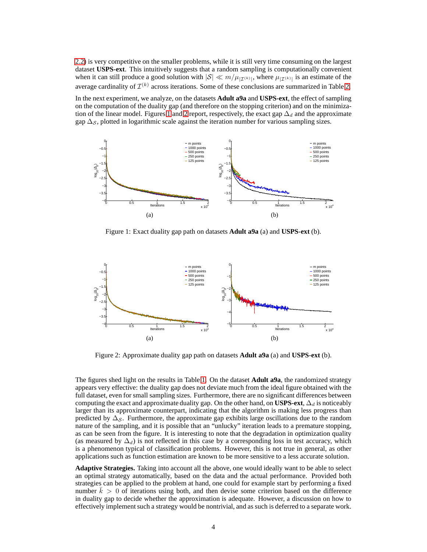[2.2\)](#page-2-1) is very competitive on the smaller problems, while it is still very time consuming on the largest dataset **USPS-ext**. This intuitively suggests that a random sampling is computationally convenient when it can still produce a good solution with  $|S| \ll m/\mu_{|\mathcal{I}^{(k)}|}$ , where  $\mu_{|\mathcal{I}^{(k)}|}$  is an estimate of the average cardinality of  $\mathcal{I}^{(k)}$  across iterations. Some of these conclusions are summarized in Table [2.](#page-4-10)

In the next experiment, we analyze, on the datasets **Adult a9a** and **USPS-ext**, the effect of sampling on the computation of the duality gap (and therefore on the stopping criterion) and on the minimiza-tion of the linear model. Figures [1](#page-3-0) and [2](#page-3-1) report, respectively, the exact gap  $\Delta_d$  and the approximate gap  $\Delta_S$ , plotted in logarithmic scale against the iteration number for various sampling sizes.



<span id="page-3-0"></span>Figure 1: Exact duality gap path on datasets **Adult a9a** (a) and **USPS-ext** (b).



<span id="page-3-1"></span>Figure 2: Approximate duality gap path on datasets **Adult a9a** (a) and **USPS-ext** (b).

The figures shed light on the results in Table [1.](#page-2-0) On the dataset **Adult a9a**, the randomized strategy appears very effective: the duality gap does not deviate much from the ideal figure obtained with the full dataset, even for small sampling sizes. Furthermore, there are no significant differences between computing the exact and approximate duality gap. On the other hand, on **USPS-ext**,  $\Delta_d$  is noticeably larger than its approximate counterpart, indicating that the algorithm is making less progress than predicted by  $\Delta_{\mathcal{S}}$ . Furthermore, the approximate gap exhibits large oscillations due to the random nature of the sampling, and it is possible that an "unlucky" iteration leads to a premature stopping, as can be seen from the figure. It is interesting to note that the degradation in optimization quality (as measured by  $\Delta_d$ ) is not reflected in this case by a corresponding loss in test accuracy, which is a phenomenon typical of classification problems. However, this is not true in general, as other applications such as function estimation are known to be more sensitive to a less accurate solution.

**Adaptive Strategies.** Taking into account all the above, one would ideally want to be able to select an optimal strategy automatically, based on the data and the actual performance. Provided both strategies can be applied to the problem at hand, one could for example start by performing a fixed number  $k > 0$  of iterations using both, and then devise some criterion based on the difference in duality gap to decide whether the approximation is adequate. However, a discussion on how to effectively implement such a strategy would be nontrivial, and as such is deferred to a separate work.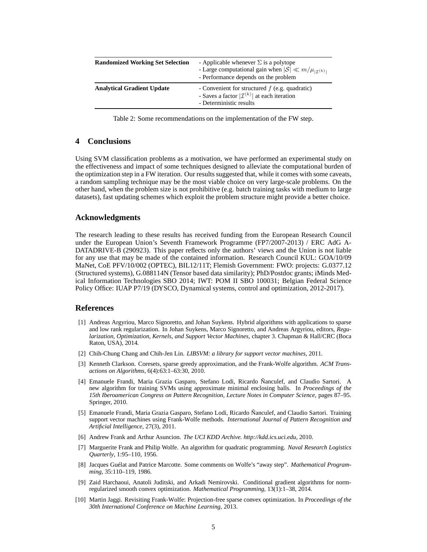| <b>Randomized Working Set Selection</b> | - Applicable whenever $\Sigma$ is a polytope<br>- Large computational gain when $ \mathcal{S}  \ll m/\mu_{ \mathcal{I}^{(k)} }$<br>- Performance depends on the problem |
|-----------------------------------------|-------------------------------------------------------------------------------------------------------------------------------------------------------------------------|
| <b>Analytical Gradient Update</b>       | - Convenient for structured $f$ (e.g. quadratic)<br>- Saves a factor $ \mathcal{I}^{(k)} $ at each iteration<br>- Deterministic results                                 |

<span id="page-4-10"></span>Table 2: Some recommendations on the implementation of the FW step.

# **4 Conclusions**

Using SVM classification problems as a motivation, we have performed an experimental study on the effectiveness and impact of some techniques designed to alleviate the computational burden of the optimization step in a FW iteration. Our results suggested that, while it comes with some caveats, a random sampling technique may be the most viable choice on very large-scale problems. On the other hand, when the problem size is not prohibitive (e.g. batch training tasks with medium to large datasets), fast updating schemes which exploit the problem structure might provide a better choice.

### **Acknowledgments**

The research leading to these results has received funding from the European Research Council under the European Union's Seventh Framework Programme (FP7/2007-2013) / ERC AdG A-DATADRIVE-B (290923). This paper reflects only the authors' views and the Union is not liable for any use that may be made of the contained information. Research Council KUL: GOA/10/09 MaNet, CoE PFV/10/002 (OPTEC), BIL12/11T; Flemish Government: FWO: projects: G.0377.12 (Structured systems), G.088114N (Tensor based data similarity); PhD/Postdoc grants; iMinds Medical Information Technologies SBO 2014; IWT: POM II SBO 100031; Belgian Federal Science Policy Office: IUAP P7/19 (DYSCO, Dynamical systems, control and optimization, 2012-2017).

#### <span id="page-4-5"></span>**References**

- [1] Andreas Argyriou, Marco Signoretto, and Johan Suykens. Hybrid algorithms with applications to sparse and low rank regularization. In Johan Suykens, Marco Signoretto, and Andreas Argyriou, editors, *Regularization, Optimization, Kernels, and Support Vector Machines*, chapter 3. Chapman & Hall/CRC (Boca Raton, USA), 2014.
- <span id="page-4-8"></span><span id="page-4-3"></span>[2] Chih-Chung Chang and Chih-Jen Lin. *LIBSVM: a library for support vector machines*, 2011.
- [3] Kenneth Clarkson. Coresets, sparse greedy approximation, and the Frank-Wolfe algorithm. *ACM Transactions on Algorithms*, 6(4):63:1–63:30, 2010.
- <span id="page-4-7"></span>[4] Emanuele Frandi, Maria Grazia Gasparo, Stefano Lodi, Ricardo Ñanculef, and Claudio Sartori. A new algorithm for training SVMs using approximate minimal enclosing balls. In *Proceedings of the 15th Iberoamerican Congress on Pattern Recognition, Lecture Notes in Computer Science*, pages 87–95. Springer, 2010.
- <span id="page-4-6"></span>[5] Emanuele Frandi, Maria Grazia Gasparo, Stefano Lodi, Ricardo Ñanculef, and Claudio Sartori. Training support vector machines using Frank-Wolfe methods. *International Journal of Pattern Recognition and Artificial Intelligence*, 27(3), 2011.
- <span id="page-4-9"></span><span id="page-4-0"></span>[6] Andrew Frank and Arthur Asuncion. *The UCI KDD Archive. http://kdd.ics.uci.edu*, 2010.
- [7] Marguerite Frank and Philip Wolfe. An algorithm for quadratic programming. *Naval Research Logistics Quarterly*, 1:95–110, 1956.
- <span id="page-4-4"></span>[8] Jacques Guélat and Patrice Marcotte. Some comments on Wolfe's "away step". *Mathematical Programming*, 35:110–119, 1986.
- <span id="page-4-2"></span>[9] Zaid Harchaoui, Anatoli Juditski, and Arkadi Nemirovski. Conditional gradient algorithms for normregularized smooth convex optimization. *Mathematical Programming*, 13(1):1–38, 2014.
- <span id="page-4-1"></span>[10] Martin Jaggi. Revisiting Frank-Wolfe: Projection-free sparse convex optimization. In *Proceedings of the 30th International Conference on Machine Learning*, 2013.